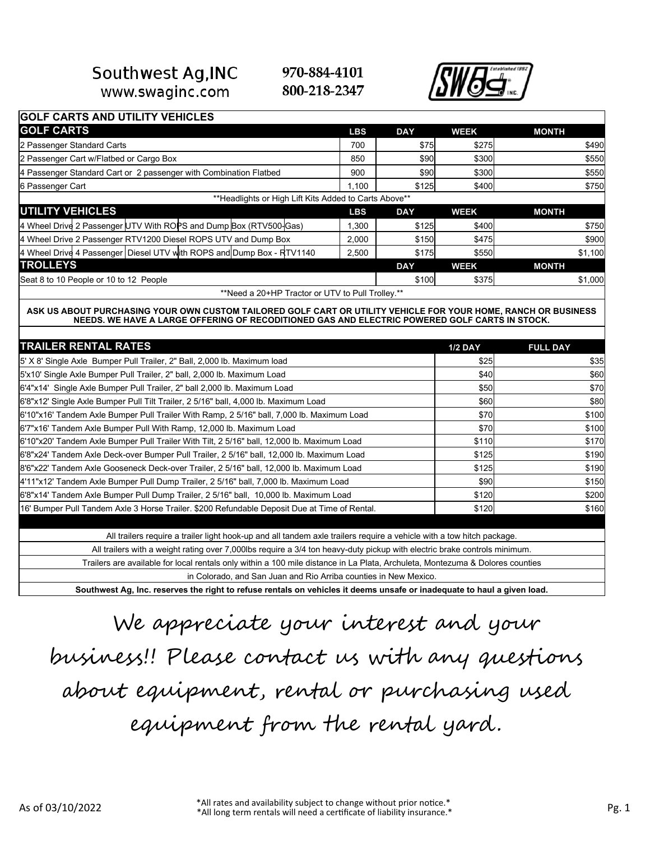#### Southwest Ag, INC www.swaginc.com

970-884-4101 800-218-2347



| <b>GOLF CARTS AND UTILITY VEHICLES</b>                                                                                                                                                                          |            |            |                |                 |
|-----------------------------------------------------------------------------------------------------------------------------------------------------------------------------------------------------------------|------------|------------|----------------|-----------------|
| <b>GOLF CARTS</b>                                                                                                                                                                                               | <b>LBS</b> | <b>DAY</b> | <b>WEEK</b>    | <b>MONTH</b>    |
| 2 Passenger Standard Carts                                                                                                                                                                                      | 700        | \$75       | \$275          | \$490           |
| 2 Passenger Cart w/Flatbed or Cargo Box                                                                                                                                                                         | 850        | \$90       | \$300          | \$550           |
| 4 Passenger Standard Cart or 2 passenger with Combination Flatbed                                                                                                                                               | 900        | \$90       | \$300          | \$550           |
| 6 Passenger Cart                                                                                                                                                                                                | 1.100      | \$125      | \$400          | \$750           |
| **Headlights or High Lift Kits Added to Carts Above**                                                                                                                                                           |            |            |                |                 |
| <b>UTILITY VEHICLES</b>                                                                                                                                                                                         | <b>LBS</b> | <b>DAY</b> | <b>WEEK</b>    | <b>MONTH</b>    |
| 4 Wheel Drive 2 Passenger UTV With ROPS and Dump Box (RTV500-Gas)                                                                                                                                               | 1,300      | \$125      | \$400          | \$750           |
| 4 Wheel Drive 2 Passenger RTV1200 Diesel ROPS UTV and Dump Box                                                                                                                                                  | 2,000      | \$150      | \$475          | \$900           |
| 4 Wheel Drive 4 Passenger   Diesel UTV with ROPS and Dump Box - RTV1140                                                                                                                                         | 2,500      | \$175      | \$550          | \$1,100         |
| <b>TROLLEYS</b>                                                                                                                                                                                                 |            | <b>DAY</b> | <b>WEEK</b>    | <b>MONTH</b>    |
| Seat 8 to 10 People or 10 to 12 People                                                                                                                                                                          |            | \$100      | \$375          | \$1,000         |
| ** Need a 20+HP Tractor or UTV to Pull Trolley.**                                                                                                                                                               |            |            |                |                 |
| ASK US ABOUT PURCHASING YOUR OWN CUSTOM TAILORED GOLF CART OR UTILITY VEHICLE FOR YOUR HOME, RANCH OR BUSINESS<br>NEEDS. WE HAVE A LARGE OFFERING OF RECODITIONED GAS AND ELECTRIC POWERED GOLF CARTS IN STOCK. |            |            |                |                 |
| <b>TRAILER RENTAL RATES</b>                                                                                                                                                                                     |            |            | <b>1/2 DAY</b> | <b>FULL DAY</b> |
| 5' X 8' Single Axle Bumper Pull Trailer, 2" Ball, 2,000 lb. Maximum load                                                                                                                                        |            |            | \$25           | \$35            |
| 5'x10' Single Axle Bumper Pull Trailer, 2" ball, 2,000 lb. Maximum Load                                                                                                                                         |            |            | \$40           | \$60            |
| 6'4"x14' Single Axle Bumper Pull Trailer, 2" ball 2,000 lb. Maximum Load                                                                                                                                        |            |            | \$50           | \$70            |
| 6'8"x12' Single Axle Bumper Pull Tilt Trailer, 2 5/16" ball, 4,000 lb. Maximum Load                                                                                                                             |            |            | \$60           | \$80            |
| 6'10"x16' Tandem Axle Bumper Pull Trailer With Ramp, 2 5/16" ball, 7,000 lb. Maximum Load                                                                                                                       |            |            | \$70           | \$100           |
| 6'7"x16' Tandem Axle Bumper Pull With Ramp, 12,000 lb. Maximum Load                                                                                                                                             |            |            | \$70           | \$100           |
| 6'10"x20' Tandem Axle Bumper Pull Trailer With Tilt, 2 5/16" ball, 12,000 lb. Maximum Load                                                                                                                      |            |            | \$110          | \$170           |
| 6'8"x24' Tandem Axle Deck-over Bumper Pull Trailer, 2 5/16" ball, 12,000 lb. Maximum Load                                                                                                                       |            |            | \$125          | \$190           |
| 8'6"x22' Tandem Axle Gooseneck Deck-over Trailer, 2 5/16" ball, 12,000 lb. Maximum Load                                                                                                                         |            |            | \$125          | \$190           |
| 4'11"x12' Tandem Axle Bumper Pull Dump Trailer, 2 5/16" ball, 7,000 lb. Maximum Load                                                                                                                            |            |            | \$90           | \$150           |
| 6'8"x14' Tandem Axle Bumper Pull Dump Trailer, 2 5/16" ball, 10,000 lb. Maximum Load                                                                                                                            |            |            | \$120          | \$200           |
| 16' Bumper Pull Tandem Axle 3 Horse Trailer. \$200 Refundable Deposit Due at Time of Rental.                                                                                                                    |            |            | \$120          | \$160           |
|                                                                                                                                                                                                                 |            |            |                |                 |
| All trailers require a trailer light hook-up and all tandem axle trailers require a vehicle with a tow hitch package.                                                                                           |            |            |                |                 |
| All trailers with a weight rating over 7,000lbs require a 3/4 ton heavy-duty pickup with electric brake controls minimum.                                                                                       |            |            |                |                 |
| Trailers are available for local rentals only within a 100 mile distance in La Plata, Archuleta, Montezuma & Dolores counties                                                                                   |            |            |                |                 |
| in Colorado, and San Juan and Rio Arriba counties in New Mexico.                                                                                                                                                |            |            |                |                 |
|                                                                                                                                                                                                                 |            |            |                |                 |

We appreciate your interest and your business!! Please contact us with any questions about equipment, rental or purchasing used equipment from the rental yard.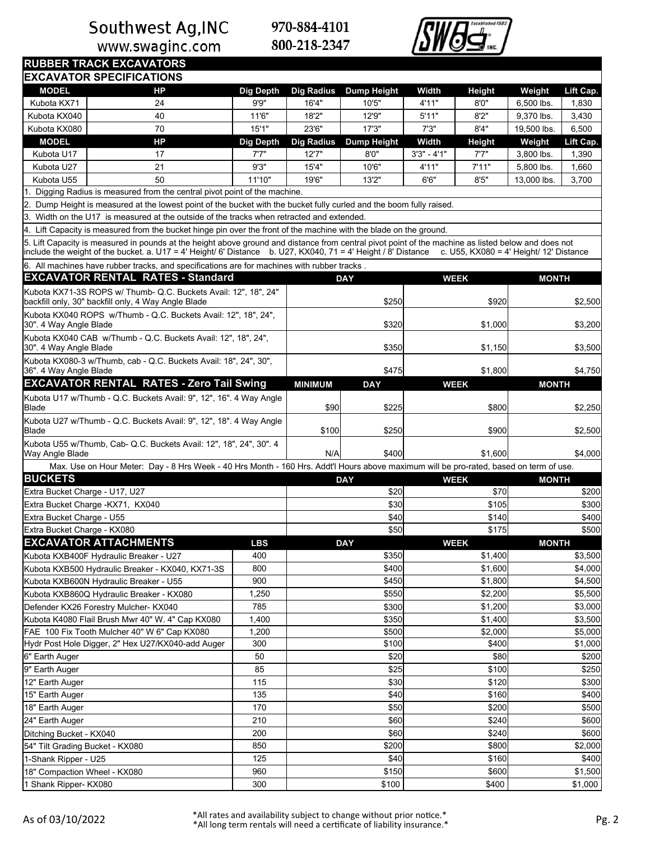www.swaginc.com



|                                                                                                                                                                                                                   | <b>RUBBER TRACK EXCAVATORS</b><br><b>EXCAVATOR SPECIFICATIONS</b>                                                                                                                                                                                                    |                  |                   |                    |               |                                         |              |           |  |  |  |  |
|-------------------------------------------------------------------------------------------------------------------------------------------------------------------------------------------------------------------|----------------------------------------------------------------------------------------------------------------------------------------------------------------------------------------------------------------------------------------------------------------------|------------------|-------------------|--------------------|---------------|-----------------------------------------|--------------|-----------|--|--|--|--|
| <b>MODEL</b>                                                                                                                                                                                                      | <b>HP</b>                                                                                                                                                                                                                                                            | <b>Dig Depth</b> | <b>Dig Radius</b> | <b>Dump Height</b> | Width         | Height                                  | Weight       | Lift Cap. |  |  |  |  |
| Kubota KX71                                                                                                                                                                                                       | 24                                                                                                                                                                                                                                                                   | 9'9''            | 16'4"             | 10'5"              | 4'11"         | 8'0''                                   | 6,500 lbs.   | 1,830     |  |  |  |  |
| Kubota KX040                                                                                                                                                                                                      | 40                                                                                                                                                                                                                                                                   | 11'6"            | 18'2"             | 12'9"              | 5'11"         | 8'2''                                   | 9.370 lbs.   | 3,430     |  |  |  |  |
| Kubota KX080                                                                                                                                                                                                      | 70                                                                                                                                                                                                                                                                   | 15'1"            | 23'6"             | 17'3''             | 7'3''         | 8'4"                                    | 19.500 lbs.  | 6,500     |  |  |  |  |
| <b>MODEL</b>                                                                                                                                                                                                      | HP                                                                                                                                                                                                                                                                   | <b>Dig Depth</b> | <b>Dig Radius</b> | <b>Dump Height</b> | Width         | Height                                  | Weight       | Lift Cap. |  |  |  |  |
| Kubota U17                                                                                                                                                                                                        | 17                                                                                                                                                                                                                                                                   | 7'7"             | 12'7"             | 8'0''              | $3'3" - 4'1"$ | 7'7"                                    | 3,800 lbs.   | 1,390     |  |  |  |  |
|                                                                                                                                                                                                                   | 21                                                                                                                                                                                                                                                                   | 9'3"             | 15'4"             | 10'6"              |               | 7'11"                                   |              |           |  |  |  |  |
| Kubota U27                                                                                                                                                                                                        |                                                                                                                                                                                                                                                                      |                  |                   |                    | 4'11"         |                                         | 5,800 lbs.   | 1,660     |  |  |  |  |
| Kubota U55                                                                                                                                                                                                        | 50                                                                                                                                                                                                                                                                   | 11'10"           | 19'6"             | 13'2"              | 6'6''         | 8'5''                                   | 13,000 lbs.  | 3,700     |  |  |  |  |
| 1. Digging Radius is measured from the central pivot point of the machine.                                                                                                                                        |                                                                                                                                                                                                                                                                      |                  |                   |                    |               |                                         |              |           |  |  |  |  |
| 2. Dump Height is measured at the lowest point of the bucket with the bucket fully curled and the boom fully raised.<br>3. Width on the U17 is measured at the outside of the tracks when retracted and extended. |                                                                                                                                                                                                                                                                      |                  |                   |                    |               |                                         |              |           |  |  |  |  |
|                                                                                                                                                                                                                   |                                                                                                                                                                                                                                                                      |                  |                   |                    |               |                                         |              |           |  |  |  |  |
|                                                                                                                                                                                                                   | 4. Lift Capacity is measured from the bucket hinge pin over the front of the machine with the blade on the ground.                                                                                                                                                   |                  |                   |                    |               |                                         |              |           |  |  |  |  |
|                                                                                                                                                                                                                   | 5. Lift Capacity is measured in pounds at the height above ground and distance from central pivot point of the machine as listed below and does not<br>include the weight of the bucket. a. U17 = 4' Height/ 6' Distance b. U27, KX040, 71 = 4' Height / 8' Distance |                  |                   |                    |               | c. U55, KX080 = 4' Height/ 12' Distance |              |           |  |  |  |  |
|                                                                                                                                                                                                                   | 6. All machines have rubber tracks, and specifications are for machines with rubber tracks.                                                                                                                                                                          |                  |                   |                    |               |                                         |              |           |  |  |  |  |
|                                                                                                                                                                                                                   | <b>EXCAVATOR RENTAL RATES - Standard</b>                                                                                                                                                                                                                             |                  |                   | <b>DAY</b>         |               | <b>WEEK</b>                             | <b>MONTH</b> |           |  |  |  |  |
|                                                                                                                                                                                                                   | Kubota KX71-3S ROPS w/ Thumb- Q.C. Buckets Avail: 12", 18", 24"<br>backfill only, 30" backfill only, 4 Way Angle Blade                                                                                                                                               |                  |                   | \$250              |               | \$920                                   |              | \$2,500   |  |  |  |  |
| 30". 4 Way Angle Blade                                                                                                                                                                                            | Kubota KX040 ROPS w/Thumb - Q.C. Buckets Avail: 12", 18", 24",                                                                                                                                                                                                       |                  |                   | \$320              |               | \$1,000                                 |              | \$3,200   |  |  |  |  |
| 30". 4 Way Angle Blade                                                                                                                                                                                            | Kubota KX040 CAB w/Thumb - Q.C. Buckets Avail: 12", 18", 24",                                                                                                                                                                                                        |                  |                   | \$350              |               | \$1,150                                 |              | \$3,500   |  |  |  |  |
| 36". 4 Way Angle Blade                                                                                                                                                                                            | Kubota KX080-3 w/Thumb, cab - Q.C. Buckets Avail: 18", 24", 30",                                                                                                                                                                                                     |                  |                   | \$475              |               | \$1,800                                 |              | \$4,750   |  |  |  |  |
|                                                                                                                                                                                                                   | <b>EXCAVATOR RENTAL RATES - Zero Tail Swing</b>                                                                                                                                                                                                                      |                  | <b>MINIMUM</b>    | <b>DAY</b>         |               | <b>WEEK</b>                             | <b>MONTH</b> |           |  |  |  |  |
| Blade                                                                                                                                                                                                             | Kubota U17 w/Thumb - Q.C. Buckets Avail: 9", 12", 16". 4 Way Angle                                                                                                                                                                                                   |                  | \$90              | \$225              |               | \$800                                   |              | \$2,250   |  |  |  |  |
| Blade                                                                                                                                                                                                             | Kubota U27 w/Thumb - Q.C. Buckets Avail: 9", 12", 18". 4 Way Angle                                                                                                                                                                                                   |                  | \$100             | \$250              |               | \$900                                   |              | \$2,500   |  |  |  |  |
| Way Angle Blade                                                                                                                                                                                                   | Kubota U55 w/Thumb, Cab- Q.C. Buckets Avail: 12", 18", 24", 30". 4                                                                                                                                                                                                   |                  | N/A               | \$400              | \$1,600       |                                         |              | \$4,000   |  |  |  |  |
|                                                                                                                                                                                                                   | Max. Use on Hour Meter: Day - 8 Hrs Week - 40 Hrs Month - 160 Hrs. Addt'l Hours above maximum will be pro-rated, based on term of use.                                                                                                                               |                  |                   |                    |               |                                         |              |           |  |  |  |  |
| <b>BUCKETS</b>                                                                                                                                                                                                    |                                                                                                                                                                                                                                                                      |                  |                   | <b>DAY</b>         |               | <b>WEEK</b>                             | <b>MONTH</b> |           |  |  |  |  |
| Extra Bucket Charge - U17, U27                                                                                                                                                                                    |                                                                                                                                                                                                                                                                      |                  |                   | \$20               |               | \$70                                    |              | \$200     |  |  |  |  |
|                                                                                                                                                                                                                   | Extra Bucket Charge - KX71, KX040                                                                                                                                                                                                                                    |                  |                   | \$30               |               | \$105                                   |              | \$300     |  |  |  |  |
|                                                                                                                                                                                                                   |                                                                                                                                                                                                                                                                      |                  |                   |                    |               |                                         |              |           |  |  |  |  |
| Extra Bucket Charge - U55                                                                                                                                                                                         |                                                                                                                                                                                                                                                                      |                  |                   | \$40               |               | \$140                                   |              | \$400     |  |  |  |  |
| lExtra Bucket Charge - KX080                                                                                                                                                                                      |                                                                                                                                                                                                                                                                      |                  |                   | \$50               |               | \$175                                   |              | \$500     |  |  |  |  |
|                                                                                                                                                                                                                   | <b>EXCAVATOR ATTACHMENTS</b>                                                                                                                                                                                                                                         | <b>LBS</b>       |                   | <b>DAY</b>         |               | <b>WEEK</b>                             | <b>MONTH</b> |           |  |  |  |  |
|                                                                                                                                                                                                                   | Kubota KXB400F Hydraulic Breaker - U27                                                                                                                                                                                                                               | 400              |                   | \$350              |               | \$1,400                                 |              | \$3,500   |  |  |  |  |
|                                                                                                                                                                                                                   | Kubota KXB500 Hydraulic Breaker - KX040, KX71-3S                                                                                                                                                                                                                     | 800              |                   | \$400              |               | \$1,600                                 |              | \$4,000   |  |  |  |  |
|                                                                                                                                                                                                                   | Kubota KXB600N Hydraulic Breaker - U55                                                                                                                                                                                                                               | 900              |                   | \$450              | \$1,800       |                                         |              | \$4,500   |  |  |  |  |
|                                                                                                                                                                                                                   | Kubota KXB860Q Hydraulic Breaker - KX080                                                                                                                                                                                                                             | 1,250            |                   | \$550              |               | \$2,200                                 |              | \$5,500   |  |  |  |  |
|                                                                                                                                                                                                                   | Defender KX26 Forestry Mulcher- KX040                                                                                                                                                                                                                                | 785              |                   | \$300              |               | \$1,200                                 |              | \$3,000   |  |  |  |  |
|                                                                                                                                                                                                                   | Kubota K4080 Flail Brush Mwr 40" W. 4" Cap KX080                                                                                                                                                                                                                     | 1,400            |                   | \$350              |               | \$1,400                                 |              | \$3,500   |  |  |  |  |
|                                                                                                                                                                                                                   | FAE 100 Fix Tooth Mulcher 40" W 6" Cap KX080                                                                                                                                                                                                                         | 1,200            |                   | \$500              |               | \$2,000                                 |              | \$5,000   |  |  |  |  |
|                                                                                                                                                                                                                   | Hydr Post Hole Digger, 2" Hex U27/KX040-add Auger                                                                                                                                                                                                                    | 300              |                   | \$100              |               | \$400                                   |              | \$1,000   |  |  |  |  |
| 6" Earth Auger                                                                                                                                                                                                    |                                                                                                                                                                                                                                                                      | 50               |                   | \$20               |               | \$80                                    |              | \$200     |  |  |  |  |
| 9" Earth Auger                                                                                                                                                                                                    |                                                                                                                                                                                                                                                                      | 85               |                   | \$25               |               | \$100                                   |              | \$250     |  |  |  |  |
| 12" Earth Auger                                                                                                                                                                                                   |                                                                                                                                                                                                                                                                      | 115              |                   | \$30               |               | \$120                                   | \$300        |           |  |  |  |  |
| 15" Earth Auger                                                                                                                                                                                                   |                                                                                                                                                                                                                                                                      | 135              |                   | \$40               |               | \$160                                   | \$400        |           |  |  |  |  |
| 18" Earth Auger                                                                                                                                                                                                   |                                                                                                                                                                                                                                                                      | 170              |                   | \$50               |               | \$200                                   |              | \$500     |  |  |  |  |
| 24" Earth Auger                                                                                                                                                                                                   |                                                                                                                                                                                                                                                                      | 210              | \$240<br>\$60     |                    |               | \$600                                   |              |           |  |  |  |  |
| Ditching Bucket - KX040                                                                                                                                                                                           |                                                                                                                                                                                                                                                                      | 200              |                   | \$60               |               | \$240                                   |              | \$600     |  |  |  |  |
| 54" Tilt Grading Bucket - KX080                                                                                                                                                                                   |                                                                                                                                                                                                                                                                      | 850              |                   | \$200              |               | \$800                                   |              | \$2,000   |  |  |  |  |
| 1-Shank Ripper - U25                                                                                                                                                                                              |                                                                                                                                                                                                                                                                      | 125              |                   | \$40               |               | \$160                                   |              | \$400     |  |  |  |  |
| 18" Compaction Wheel - KX080                                                                                                                                                                                      |                                                                                                                                                                                                                                                                      | 960              |                   | \$150              |               | \$600                                   |              | \$1,500   |  |  |  |  |
| 1 Shank Ripper- KX080                                                                                                                                                                                             |                                                                                                                                                                                                                                                                      | 300              |                   | \$100              |               | \$400                                   |              | \$1,000   |  |  |  |  |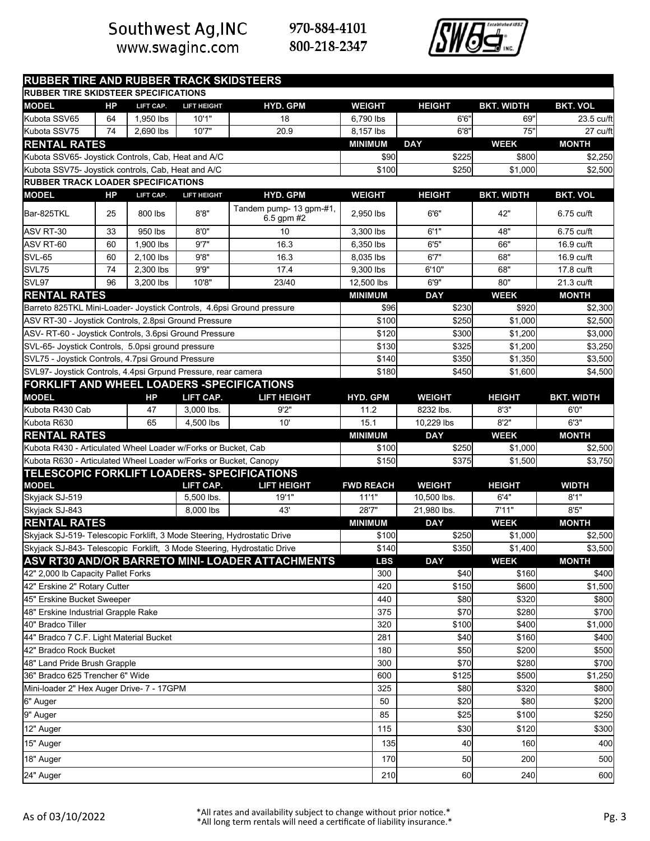www.swaginc.com



| <b>RUBBER TIRE AND RUBBER TRACK SKIDSTEERS</b>                          |           |           |                    |                                                  |                  |               |                   |                   |  |
|-------------------------------------------------------------------------|-----------|-----------|--------------------|--------------------------------------------------|------------------|---------------|-------------------|-------------------|--|
| RUBBER TIRE SKIDSTEER SPECIFICATIONS                                    |           |           |                    |                                                  |                  |               |                   |                   |  |
| <b>MODEL</b>                                                            | <b>HP</b> | LIFT CAP. | <b>LIFT HEIGHT</b> | <b>HYD. GPM</b>                                  | <b>WEIGHT</b>    | <b>HEIGHT</b> | <b>BKT. WIDTH</b> | <b>BKT. VOL</b>   |  |
| Kubota SSV65                                                            | 64        | 1,950 lbs | 10'1"              | 18                                               | 6,790 lbs        | 6'6''         | 69"               | 23.5 cu/ft        |  |
| Kubota SSV75                                                            | 74        | 2,690 lbs | 10'7"              | 20.9                                             | 8,157 lbs        | 6'8''         | 75"               | 27 cu/ft          |  |
| <b>RENTAL RATES</b>                                                     |           |           |                    |                                                  | <b>MINIMUM</b>   | <b>DAY</b>    | <b>WEEK</b>       | <b>MONTH</b>      |  |
| Kubota SSV65- Joystick Controls, Cab, Heat and A/C                      |           |           |                    |                                                  | \$90             | \$225         | \$800             | \$2,250           |  |
| Kubota SSV75- Joystick controls, Cab, Heat and A/C                      |           |           |                    |                                                  | \$100            | \$250         | \$1,000           | \$2,500           |  |
| <b>RUBBER TRACK LOADER SPECIFICATIONS</b>                               |           |           |                    |                                                  |                  |               |                   |                   |  |
| <b>MODEL</b>                                                            | <b>HP</b> | LIFT CAP. | <b>LIFT HEIGHT</b> | <b>HYD. GPM</b>                                  | <b>WEIGHT</b>    | <b>HEIGHT</b> | <b>BKT. WIDTH</b> | <b>BKT. VOL</b>   |  |
| Bar-825TKL                                                              | 25        | 800 lbs   | 8'8"               | Tandem pump- 13 gpm-#1,<br>6.5 gpm #2            | 2.950 lbs        | 6'6''         | 42"               | 6.75 cu/ft        |  |
| ASV RT-30                                                               | 33        | 950 lbs   | 8'0''              | 10                                               | 3,300 lbs        | 6'1"          | 48"               | 6.75 cu/ft        |  |
| ASV RT-60                                                               | 60        | 1,900 lbs | 9'7''              | 16.3                                             | 6,350 lbs        | 6'5''         | 66"               | 16.9 cu/ft        |  |
| SVL-65                                                                  | 60        | 2,100 lbs | 9'8''              | 16.3                                             | 8,035 lbs        | 6'7''         | 68"               | 16.9 cu/ft        |  |
| SVL75                                                                   | 74        | 2,300 lbs | 9'9''              | 17.4                                             | 9,300 lbs        | 6'10"         | 68"               | 17.8 cu/ft        |  |
| SVL97                                                                   | 96        | 3,200 lbs | 10'8"              | 23/40                                            | 12,500 lbs       | 6'9''         | 80"               | 21.3 cu/ft        |  |
| <b>RENTAL RATES</b>                                                     |           |           |                    |                                                  | <b>MINIMUM</b>   | <b>DAY</b>    | <b>WEEK</b>       | <b>MONTH</b>      |  |
| Barreto 825TKL Mini-Loader- Joystick Controls, 4.6psi Ground pressure   |           |           |                    |                                                  | \$96             | \$230         | \$920             | \$2,300           |  |
| ASV RT-30 - Joystick Controls, 2.8psi Ground Pressure                   |           |           |                    |                                                  | \$100            | \$250         | \$1,000           | \$2,500           |  |
| ASV-RT-60 - Joystick Controls, 3.6psi Ground Pressure                   |           |           |                    |                                                  | \$120            | \$300         | \$1.200           | \$3,000           |  |
| SVL-65- Joystick Controls, 5.0psi ground pressure                       |           |           |                    |                                                  | \$130            | \$325         | \$1.200           | \$3,250           |  |
| SVL75 - Joystick Controls, 4.7psi Ground Pressure                       |           |           |                    |                                                  | \$140            | \$350         | \$1,350           | \$3,500           |  |
| SVL97- Joystick Controls, 4.4psi Grpund Pressure, rear camera           |           |           |                    |                                                  | \$180            | \$450         | \$1,600           | \$4,500           |  |
| FORKLIFT AND WHEEL LOADERS -SPECIFICATIONS<br><b>MODEL</b>              |           | НP        | LIFT CAP.          | <b>LIFT HEIGHT</b>                               | HYD. GPM         | <b>WEIGHT</b> | <b>HEIGHT</b>     | <b>BKT. WIDTH</b> |  |
| Kubota R430 Cab                                                         |           | 47        | 3,000 lbs.         | 9'2"                                             | 11.2             | 8232 lbs.     | 8'3''             | 6'0''             |  |
| Kubota R630                                                             |           | 65        | 4,500 lbs          | 10'                                              | 15.1             | 10,229 lbs    | 8'2"              | 6'3''             |  |
| <b>RENTAL RATES</b>                                                     |           |           |                    |                                                  | <b>MINIMUM</b>   | <b>DAY</b>    | <b>WEEK</b>       | <b>MONTH</b>      |  |
| Kubota R430 - Articulated Wheel Loader w/Forks or Bucket, Cab           |           |           |                    |                                                  | \$100            | \$250         | \$1,000           | \$2,500           |  |
| Kubota R630 - Articulated Wheel Loader w/Forks or Bucket, Canopy        |           |           |                    |                                                  | \$150            | \$375         | \$1,500           | \$3,750           |  |
|                                                                         |           |           |                    | TELESCOPIC FORKLIFT LOADERS- SPECIFICATIONS      |                  |               |                   |                   |  |
| <b>MODEL</b>                                                            |           |           | <b>LIFT CAP.</b>   | <b>LIFT HEIGHT</b>                               | <b>FWD REACH</b> | <b>WEIGHT</b> | <b>HEIGHT</b>     | <b>WIDTH</b>      |  |
| Skyjack SJ-519                                                          |           |           | 5,500 lbs.         | 19'1"                                            | 11'1"            | 10,500 lbs.   | 6'4"              | 8'1"              |  |
| Skyjack SJ-843                                                          |           |           | 8,000 lbs          | 43'                                              | 28'7"            | 21,980 lbs.   | 7'11"             | 8'5''             |  |
| <b>RENTAL RATES</b>                                                     |           |           |                    |                                                  | <b>MINIMUM</b>   | <b>DAY</b>    | <b>WEEK</b>       | <b>MONTH</b>      |  |
| Skyjack SJ-519- Telescopic Forklift, 3 Mode Steering, Hydrostatic Drive |           |           |                    |                                                  | \$100            | \$250         | \$1,000           | \$2,500           |  |
| Skyjack SJ-843- Telescopic Forklift, 3 Mode Steering, Hydrostatic Drive |           |           |                    |                                                  | \$140            | \$350         | \$1,400           | \$3,500           |  |
|                                                                         |           |           |                    | ASV RT30 AND/OR BARRETO MINI- LOADER ATTACHMENTS | <b>LBS</b>       | <b>DAY</b>    | <b>WEEK</b>       | <b>MONTH</b>      |  |
| 42" 2,000 lb Capacity Pallet Forks                                      |           |           |                    |                                                  | 300              | \$40          | \$160             | \$400             |  |
| 42" Erskine 2" Rotary Cutter                                            |           |           |                    |                                                  | 420              | \$150         | \$600             | \$1,500           |  |
| 45" Erskine Bucket Sweeper                                              |           |           |                    |                                                  | 440              | \$80<br>\$70  | \$320             | \$800             |  |
| 48" Erskine Industrial Grapple Rake                                     |           |           |                    |                                                  | 375<br>320       |               | \$280<br>\$400    | \$700             |  |
| 40" Bradco Tiller<br>44" Bradco 7 C.F. Light Material Bucket            |           |           |                    |                                                  | 281              | \$100<br>\$40 | \$160             | \$1,000<br>\$400  |  |
| 42" Bradco Rock Bucket                                                  |           |           |                    |                                                  | 180              | \$50          | \$200             | \$500             |  |
| 48" Land Pride Brush Grapple                                            |           |           |                    |                                                  | 300              | \$70          | \$280             | \$700             |  |
| 36" Bradco 625 Trencher 6" Wide                                         |           |           |                    |                                                  | 600              | \$125         | \$500             | \$1,250           |  |
| Mini-loader 2" Hex Auger Drive- 7 - 17GPM                               |           |           |                    |                                                  | 325              | \$80          | \$320             | \$800             |  |
|                                                                         |           |           |                    |                                                  | 50               | \$20          | \$80              | \$200             |  |
| 6" Auger                                                                |           |           |                    |                                                  | 85               | \$25          | \$100             | \$250             |  |
| 9" Auger                                                                |           |           |                    |                                                  |                  |               |                   |                   |  |
| 12" Auger                                                               |           |           |                    |                                                  | 115              | \$30          | \$120             | \$300             |  |
| 15" Auger                                                               |           |           |                    |                                                  | 135              | 40            | 160               | 400               |  |
| 18" Auger                                                               |           |           |                    |                                                  | 170              | 50            | 200               | 500               |  |
| 24" Auger                                                               |           |           |                    |                                                  | 210              | 60            | 240               | 600               |  |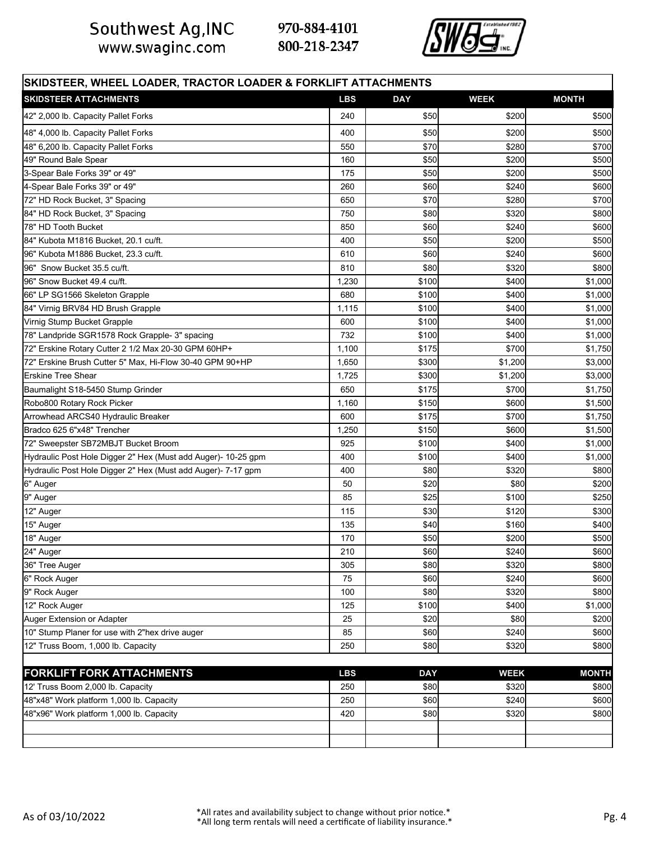Southwest Ag, INC<br>www.swaginc.com



| SKIDSTEER, WHEEL LOADER, TRACTOR LOADER & FORKLIFT ATTACHMENTS |            |            |             |              |  |  |  |  |  |
|----------------------------------------------------------------|------------|------------|-------------|--------------|--|--|--|--|--|
| <b>SKIDSTEER ATTACHMENTS</b>                                   | <b>LBS</b> | <b>DAY</b> | <b>WEEK</b> | <b>MONTH</b> |  |  |  |  |  |
| 42" 2,000 lb. Capacity Pallet Forks                            | 240        | \$50       | \$200       | \$500        |  |  |  |  |  |
| 48" 4,000 lb. Capacity Pallet Forks                            | 400        | \$50       | \$200       | \$500        |  |  |  |  |  |
| 48" 6,200 lb. Capacity Pallet Forks                            | 550        | \$70       | \$280       | \$700        |  |  |  |  |  |
| 49" Round Bale Spear                                           | 160        | \$50       | \$200       | \$500        |  |  |  |  |  |
| 3-Spear Bale Forks 39" or 49"                                  | 175        | \$50       | \$200       | \$500        |  |  |  |  |  |
| 4-Spear Bale Forks 39" or 49"                                  | 260        | \$60       | \$240       | \$600        |  |  |  |  |  |
| 72" HD Rock Bucket, 3" Spacing                                 | 650        | \$70       | \$280       | \$700        |  |  |  |  |  |
| 84" HD Rock Bucket, 3" Spacing                                 | 750        | \$80       | \$320       | \$800        |  |  |  |  |  |
| 78" HD Tooth Bucket                                            | 850        | \$60       | \$240       | \$600        |  |  |  |  |  |
| 84" Kubota M1816 Bucket, 20.1 cu/ft.                           | 400        | \$50       | \$200       | \$500        |  |  |  |  |  |
| 96" Kubota M1886 Bucket, 23.3 cu/ft.                           | 610        | \$60       | \$240       | \$600        |  |  |  |  |  |
| 96" Snow Bucket 35.5 cu/ft.                                    | 810        | \$80       | \$320       | \$800        |  |  |  |  |  |
| 96" Snow Bucket 49.4 cu/ft.                                    | 1,230      | \$100      | \$400       | \$1,000      |  |  |  |  |  |
| 66" LP SG1566 Skeleton Grapple                                 | 680        | \$100      | \$400       | \$1,000      |  |  |  |  |  |
| 84" Virnig BRV84 HD Brush Grapple                              | 1,115      | \$100      | \$400       | \$1,000      |  |  |  |  |  |
| Virnig Stump Bucket Grapple                                    | 600        | \$100      | \$400       | \$1,000      |  |  |  |  |  |
| 78" Landpride SGR1578 Rock Grapple- 3" spacing                 | 732        | \$100      | \$400       | \$1,000      |  |  |  |  |  |
| 72" Erskine Rotary Cutter 2 1/2 Max 20-30 GPM 60HP+            | 1,100      | \$175      | \$700       | \$1,750      |  |  |  |  |  |
| 72" Erskine Brush Cutter 5" Max, Hi-Flow 30-40 GPM 90+HP       | 1,650      | \$300      | \$1,200     | \$3,000      |  |  |  |  |  |
| <b>Erskine Tree Shear</b>                                      | 1,725      | \$300      | \$1,200     | \$3,000      |  |  |  |  |  |
| Baumalight S18-5450 Stump Grinder                              | 650        | \$175      | \$700       | \$1,750      |  |  |  |  |  |
| Robo800 Rotary Rock Picker                                     | 1,160      | \$150      | \$600       | \$1,500      |  |  |  |  |  |
| Arrowhead ARCS40 Hydraulic Breaker                             | 600        | \$175      | \$700       | \$1,750      |  |  |  |  |  |
| Bradco 625 6"x48" Trencher                                     | 1,250      | \$150      | \$600       | \$1,500      |  |  |  |  |  |
| 72" Sweepster SB72MBJT Bucket Broom                            | 925        | \$100      | \$400       | \$1,000      |  |  |  |  |  |
| Hydraulic Post Hole Digger 2" Hex (Must add Auger)- 10-25 gpm  | 400        | \$100      | \$400       | \$1,000      |  |  |  |  |  |
| Hydraulic Post Hole Digger 2" Hex (Must add Auger)- 7-17 gpm   | 400        | \$80       | \$320       | \$800        |  |  |  |  |  |
| 6" Auger                                                       | 50         | \$20       | \$80        | \$200        |  |  |  |  |  |
| 9" Auger                                                       | 85         | \$25       | \$100       | \$250        |  |  |  |  |  |
| 12" Auger                                                      | 115        | \$30       | \$120       | \$300        |  |  |  |  |  |
| 15" Auger                                                      | 135        | \$40       | \$160       | \$400        |  |  |  |  |  |
| 18" Auger                                                      | 170        | \$50       | \$200       | \$500        |  |  |  |  |  |
| 24" Auger                                                      | 210        | \$60       | \$240       | \$600        |  |  |  |  |  |
| 36" Tree Auger                                                 | 305        | \$80       | \$320       | \$800        |  |  |  |  |  |
| 6" Rock Auger                                                  | 75         | \$60       | \$240       | \$600        |  |  |  |  |  |
| 9" Rock Auger                                                  | 100        | \$80       | \$320       | \$800        |  |  |  |  |  |
| 12" Rock Auger                                                 | 125        | \$100      | \$400       | \$1,000      |  |  |  |  |  |
| Auger Extension or Adapter                                     | 25         | \$20       | \$80        | \$200        |  |  |  |  |  |
| 10" Stump Planer for use with 2"hex drive auger                | 85         | \$60       | \$240       | \$600        |  |  |  |  |  |
| 12" Truss Boom, 1,000 lb. Capacity                             | 250        | \$80       | \$320       | \$800        |  |  |  |  |  |
| <b>FORKLIFT FORK ATTACHMENTS</b>                               | <b>LBS</b> | <b>DAY</b> | <b>WEEK</b> | <b>MONTH</b> |  |  |  |  |  |
| 12' Truss Boom 2,000 lb. Capacity                              | 250        | \$80       | \$320       | \$800        |  |  |  |  |  |
| 48"x48" Work platform 1,000 lb. Capacity                       | 250        | \$60       | \$240       | \$600        |  |  |  |  |  |
| 48"x96" Work platform 1,000 lb. Capacity                       | 420        | \$80       | \$320       | \$800        |  |  |  |  |  |
|                                                                |            |            |             |              |  |  |  |  |  |
|                                                                |            |            |             |              |  |  |  |  |  |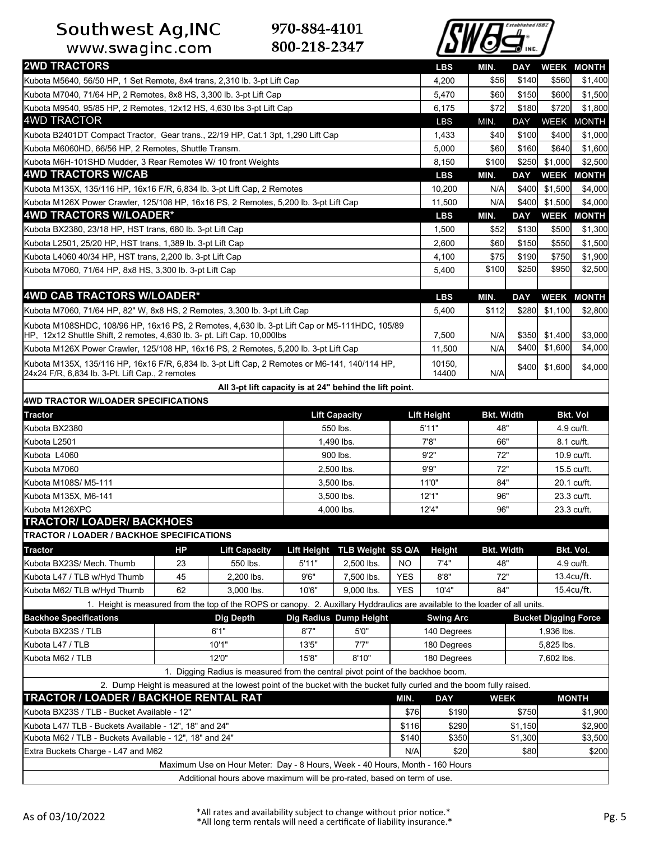Southwest Ag, INC<br>www.swaginc.com



| <b>2WD TRACTORS</b>                                                                                                                                                       |                                                     |                                                                                                                              |                |                               |                  | <b>LBS</b>         | MIN.                     | DAY         |                             | <b>WEEK MONTH</b>        |
|---------------------------------------------------------------------------------------------------------------------------------------------------------------------------|-----------------------------------------------------|------------------------------------------------------------------------------------------------------------------------------|----------------|-------------------------------|------------------|--------------------|--------------------------|-------------|-----------------------------|--------------------------|
| Kubota M5640, 56/50 HP, 1 Set Remote, 8x4 trans, 2,310 lb. 3-pt Lift Cap                                                                                                  |                                                     |                                                                                                                              |                |                               |                  | 4,200              | \$56                     | \$140       | \$560                       | \$1,400                  |
| Kubota M7040, 71/64 HP, 2 Remotes, 8x8 HS, 3,300 lb. 3-pt Lift Cap                                                                                                        |                                                     |                                                                                                                              |                |                               |                  | 5,470              | \$60                     | \$150       | \$600                       | \$1,500                  |
| Kubota M9540, 95/85 HP, 2 Remotes, 12x12 HS, 4,630 lbs 3-pt Lift Cap                                                                                                      |                                                     |                                                                                                                              |                |                               |                  | 6,175              | \$72                     | \$180       | \$720                       | \$1,800                  |
| <b>4WD TRACTOR</b>                                                                                                                                                        |                                                     |                                                                                                                              |                |                               |                  | LBS                | MIN.                     | <b>DAY</b>  |                             | WEEK MONTH               |
| Kubota B2401DT Compact Tractor, Gear trans., 22/19 HP, Cat.1 3pt, 1,290 Lift Cap                                                                                          |                                                     |                                                                                                                              |                |                               |                  | 1,433              | \$40                     | \$100       | \$400                       | \$1,000                  |
| Kubota M6060HD, 66/56 HP, 2 Remotes, Shuttle Transm.                                                                                                                      |                                                     |                                                                                                                              |                |                               |                  | 5,000              | \$60                     | \$160       | \$640                       | \$1,600                  |
| Kubota M6H-101SHD Mudder, 3 Rear Remotes W/ 10 front Weights                                                                                                              |                                                     |                                                                                                                              |                |                               |                  | 8,150              | \$100                    | \$250       | \$1,000                     | \$2,500                  |
| <b>4WD TRACTORS W/CAB</b>                                                                                                                                                 |                                                     |                                                                                                                              |                |                               |                  | <b>LBS</b>         | MIN.                     | <b>DAY</b>  |                             | <b>WEEK MONTH</b>        |
| Kubota M135X, 135/116 HP, 16x16 F/R, 6,834 lb. 3-pt Lift Cap, 2 Remotes                                                                                                   |                                                     |                                                                                                                              |                |                               |                  | 10,200             | N/A                      | \$400       | \$1,500                     | \$4,000                  |
| Kubota M126X Power Crawler, 125/108 HP, 16x16 PS, 2 Remotes, 5,200 lb. 3-pt Lift Cap                                                                                      |                                                     |                                                                                                                              |                |                               |                  | 11,500             | N/A                      | \$400       | \$1,500                     | \$4,000                  |
| 4WD TRACTORS W/LOADER*                                                                                                                                                    |                                                     |                                                                                                                              |                |                               |                  | <b>LBS</b>         | MIN.                     | <b>DAY</b>  |                             | <b>WEEK MONTH</b>        |
| Kubota BX2380, 23/18 HP, HST trans, 680 lb. 3-pt Lift Cap                                                                                                                 |                                                     |                                                                                                                              |                |                               |                  | 1,500              | \$52                     | \$130       | \$500                       | \$1,300                  |
| Kubota L2501, 25/20 HP, HST trans, 1,389 lb. 3-pt Lift Cap                                                                                                                |                                                     |                                                                                                                              |                |                               |                  | 2,600              | \$60                     | \$150       | \$550                       | \$1,500                  |
| Kubota L4060 40/34 HP, HST trans, 2,200 lb. 3-pt Lift Cap                                                                                                                 |                                                     |                                                                                                                              |                |                               |                  | 4,100              | \$75                     | \$190       | \$750                       | \$1,900                  |
| Kubota M7060, 71/64 HP, 8x8 HS, 3,300 lb. 3-pt Lift Cap                                                                                                                   |                                                     |                                                                                                                              |                |                               |                  | 5,400              | \$100                    | \$250       | \$950                       | \$2,500                  |
| 4WD CAB TRACTORS W/LOADER*                                                                                                                                                |                                                     |                                                                                                                              |                |                               |                  |                    |                          |             |                             |                          |
|                                                                                                                                                                           |                                                     |                                                                                                                              |                |                               |                  | <b>LBS</b>         | MIN.                     | <b>DAY</b>  |                             | <b>WEEK MONTH</b>        |
| Kubota M7060, 71/64 HP, 82" W, 8x8 HS, 2 Remotes, 3,300 lb. 3-pt Lift Cap                                                                                                 |                                                     |                                                                                                                              |                |                               |                  | 5,400              | \$112                    | \$280       | \$1,100                     | \$2,800                  |
| Kubota M108SHDC, 108/96 HP, 16x16 PS, 2 Remotes, 4,630 lb. 3-pt Lift Cap or M5-111HDC, 105/89<br>HP, 12x12 Shuttle Shift, 2 remotes, 4,630 lb. 3- pt. Lift Cap. 10,000lbs |                                                     |                                                                                                                              |                |                               |                  | 7,500              | N/A                      | \$350       | \$1,400                     | \$3,000                  |
| Kubota M126X Power Crawler, 125/108 HP, 16x16 PS, 2 Remotes, 5,200 lb. 3-pt Lift Cap                                                                                      |                                                     |                                                                                                                              |                |                               |                  | 11,500             | N/A                      | \$400       | \$1,600                     | \$4,000                  |
| Kubota M135X, 135/116 HP, 16x16 F/R, 6,834 lb. 3-pt Lift Cap, 2 Remotes or M6-141, 140/114 HP,                                                                            |                                                     |                                                                                                                              |                |                               |                  | 10150,             |                          |             |                             |                          |
| 24x24 F/R, 6,834 lb. 3-Pt. Lift Cap., 2 remotes                                                                                                                           |                                                     |                                                                                                                              |                |                               |                  | 14400              | N/A                      | \$400       | \$1,600                     | \$4,000                  |
|                                                                                                                                                                           |                                                     | All 3-pt lift capacity is at 24" behind the lift point.                                                                      |                |                               |                  |                    |                          |             |                             |                          |
| 4WD TRACTOR W/LOADER SPECIFICATIONS                                                                                                                                       |                                                     |                                                                                                                              |                |                               |                  |                    |                          |             |                             |                          |
| <b>Tractor</b>                                                                                                                                                            |                                                     |                                                                                                                              |                | <b>Lift Capacity</b>          |                  | <b>Lift Height</b> | <b>Bkt. Width</b>        |             |                             | <b>Bkt. Vol</b>          |
| Kubota BX2380                                                                                                                                                             |                                                     |                                                                                                                              |                | 550 lbs.                      |                  | 5'11"              | 48"                      |             |                             | 4.9 cu/ft.               |
| Kubota L2501                                                                                                                                                              |                                                     |                                                                                                                              |                | 1,490 lbs.                    | 7'8"             |                    | 66"                      |             |                             | 8.1 cu/ft.               |
| Kubota L4060                                                                                                                                                              |                                                     |                                                                                                                              | 900 lbs.       |                               | 9'2"             | 72"                |                          | 10.9 cu/ft. |                             |                          |
| Kubota M7060                                                                                                                                                              |                                                     |                                                                                                                              | 2,500 lbs.     |                               | 9'9"             | 72"                |                          |             | 15.5 cu/ft.                 |                          |
| Kubota M108S/ M5-111                                                                                                                                                      |                                                     |                                                                                                                              | 3,500 lbs.     |                               | 11'0"            | 84"                |                          |             | 20.1 cu/ft.                 |                          |
| Kubota M135X, M6-141                                                                                                                                                      |                                                     |                                                                                                                              | 3,500 lbs.     |                               |                  | 12'1"              | 96"                      |             |                             | 23.3 cu/ft.              |
| Kubota M126XPC                                                                                                                                                            |                                                     |                                                                                                                              |                | 4,000 lbs.                    |                  | 12'4"              | 96"                      |             |                             | 23.3 cu/ft.              |
| <b>TRACTOR/ LOADER/ BACKHOES</b><br>TRACTOR / LOADER / BACKHOE SPECIFICATIONS                                                                                             |                                                     |                                                                                                                              |                |                               |                  |                    |                          |             |                             |                          |
|                                                                                                                                                                           |                                                     |                                                                                                                              |                |                               |                  |                    |                          |             |                             |                          |
| Tractor<br>Kubota BX23S/ Mech. Thumb                                                                                                                                      | HP                                                  | <b>Lift Capacity</b>                                                                                                         |                | Lift Height TLB Weight SS Q/A |                  | Height             | <b>Bkt. Width</b><br>48" |             |                             | Bkt. Vol.                |
| Kubota L47 / TLB w/Hyd Thumb                                                                                                                                              | 23<br>45                                            | 550 lbs.<br>2,200 lbs.                                                                                                       | 5'11"<br>9'6'' | 2,500 lbs.<br>7,500 lbs.      | NO<br><b>YES</b> | 7'4"<br>8'8''      | 72"                      |             |                             | 4.9 cu/ft.<br>13.4cu/ft. |
| Kubota M62/ TLB w/Hyd Thumb                                                                                                                                               | 62                                                  | 3,000 lbs.                                                                                                                   | 10'6"          | 9.000 lbs.                    | <b>YES</b>       | 10'4"              | 84"                      |             |                             | 15.4cu/ft.               |
|                                                                                                                                                                           |                                                     | 1. Height is measured from the top of the ROPS or canopy. 2. Auxillary Hyddraulics are available to the loader of all units. |                |                               |                  |                    |                          |             |                             |                          |
| <b>Backhoe Specifications</b>                                                                                                                                             |                                                     | <b>Dig Depth</b>                                                                                                             |                | Dig Radius Dump Height        |                  | <b>Swing Arc</b>   |                          |             | <b>Bucket Digging Force</b> |                          |
| Kubota BX23S / TLB                                                                                                                                                        |                                                     | 6'1"                                                                                                                         | 8'7''          | 5'0''                         |                  | 140 Degrees        |                          |             | 1,936 lbs.                  |                          |
| Kubota L47 / TLB                                                                                                                                                          |                                                     | 10'1"                                                                                                                        | 13'5"          | 7'7''                         |                  | 180 Degrees        |                          |             | 5,825 lbs.                  |                          |
| Kubota M62 / TLB                                                                                                                                                          |                                                     | 12'0"                                                                                                                        | 15'8"          | 8'10"                         |                  | 180 Degrees        |                          |             | 7,602 lbs.                  |                          |
|                                                                                                                                                                           |                                                     | 1. Digging Radius is measured from the central pivot point of the backhoe boom.                                              |                |                               |                  |                    |                          |             |                             |                          |
|                                                                                                                                                                           |                                                     | 2. Dump Height is measured at the lowest point of the bucket with the bucket fully curled and the boom fully raised.         |                |                               |                  |                    |                          |             |                             |                          |
| TRACTOR / LOADER / BACKHOE RENTAL RAT                                                                                                                                     |                                                     |                                                                                                                              |                |                               | MIN.             | <b>DAY</b>         | <b>WEEK</b>              |             |                             | <b>MONTH</b>             |
|                                                                                                                                                                           | Kubota BX23S / TLB - Bucket Available - 12"<br>\$76 |                                                                                                                              |                |                               | \$190            |                    | \$750                    |             | \$1,900                     |                          |
| Kubota L47/ TLB - Buckets Available - 12", 18" and 24"                                                                                                                    |                                                     |                                                                                                                              |                |                               | \$116            | \$290              |                          | \$1,150     |                             | \$2,900                  |
| Kubota M62 / TLB - Buckets Available - 12", 18" and 24"                                                                                                                   |                                                     |                                                                                                                              |                |                               | \$140            | \$350              |                          | \$1,300     |                             | \$3,500                  |
| Extra Buckets Charge - L47 and M62                                                                                                                                        |                                                     |                                                                                                                              |                |                               | N/A              | \$20               |                          | \$80        |                             | \$200                    |
|                                                                                                                                                                           |                                                     | Maximum Use on Hour Meter: Day - 8 Hours, Week - 40 Hours, Month - 160 Hours                                                 |                |                               |                  |                    |                          |             |                             |                          |
| Additional hours above maximum will be pro-rated, based on term of use.                                                                                                   |                                                     |                                                                                                                              |                |                               |                  |                    |                          |             |                             |                          |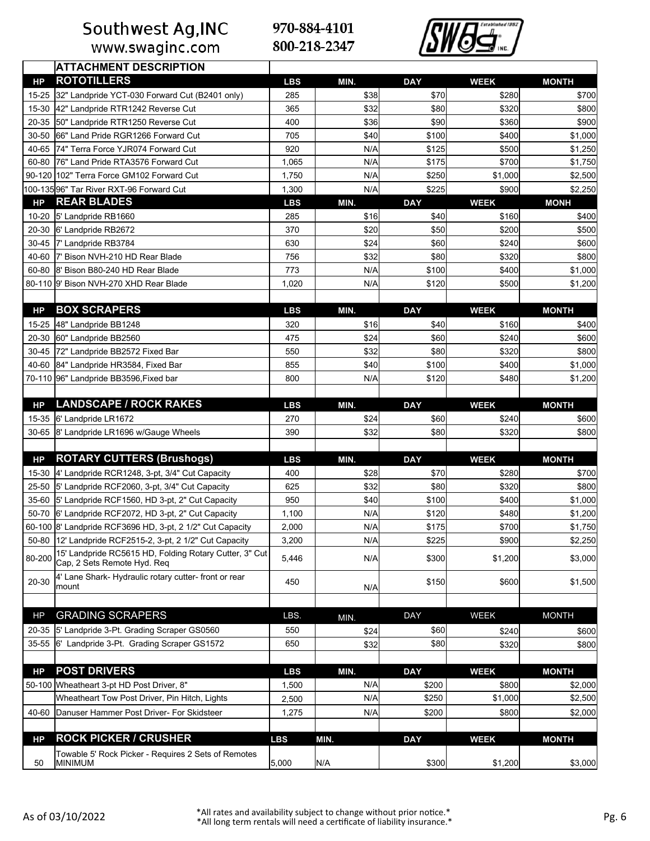www.swaginc.com

970-884-4101 800-218-2347



|                | <b>ATTACHMENT DESCRIPTION</b>                                                          |            |      |            |             |              |
|----------------|----------------------------------------------------------------------------------------|------------|------|------------|-------------|--------------|
| HP             | <b>ROTOTILLERS</b>                                                                     | <b>LBS</b> | MIN. | <b>DAY</b> | <b>WEEK</b> | <b>MONTH</b> |
| 15-25          | 32" Landpride YCT-030 Forward Cut (B2401 only)                                         | 285        | \$38 | \$70       | \$280       | \$700        |
| 15-30          | 42" Landpride RTR1242 Reverse Cut                                                      | 365        | \$32 | \$80       | \$320       | \$800        |
| 20-35          | 50" Landpride RTR1250 Reverse Cut                                                      | 400        | \$36 | \$90       | \$360       | \$900        |
| 30-50          | 66" Land Pride RGR1266 Forward Cut                                                     | 705        | \$40 | \$100      | \$400       | \$1,000      |
| 40-65          | 74" Terra Force YJR074 Forward Cut                                                     | 920        | N/A  | \$125      | \$500       | \$1,250      |
| 60-80          | 76" Land Pride RTA3576 Forward Cut                                                     | 1,065      | N/A  | \$175      | \$700       | \$1,750      |
|                | 90-120 102" Terra Force GM102 Forward Cut                                              | 1,750      | N/A  | \$250      | \$1,000     | \$2,500      |
|                | 100-13596" Tar River RXT-96 Forward Cut                                                | 1,300      | N/A  | \$225      | \$900       | \$2,250      |
| HP             | <b>REAR BLADES</b>                                                                     | <b>LBS</b> | MIN. | <b>DAY</b> | <b>WEEK</b> | <b>MONH</b>  |
| $10 - 20$      | 5' Landpride RB1660                                                                    | 285        | \$16 | \$40       | \$160       | \$400        |
| 20-30          | 6' Landpride RB2672                                                                    | 370        | \$20 | \$50       | \$200       | \$500        |
|                | 30-45 7' Landpride RB3784                                                              | 630        | \$24 | \$60       | \$240       | \$600        |
|                | 40-60 7' Bison NVH-210 HD Rear Blade                                                   | 756        | \$32 | \$80       | \$320       | \$800        |
|                | 60-80 8' Bison B80-240 HD Rear Blade                                                   | 773        | N/A  | \$100      | \$400       | \$1,000      |
|                | 80-110 9' Bison NVH-270 XHD Rear Blade                                                 | 1,020      | N/A  | \$120      | \$500       | \$1,200      |
|                |                                                                                        |            |      |            |             |              |
| <b>HP</b>      | <b>BOX SCRAPERS</b>                                                                    | <b>LBS</b> | MIN. | <b>DAY</b> | <b>WEEK</b> | <b>MONTH</b> |
| 15-25          | 48" Landpride BB1248                                                                   | 320        | \$16 | \$40       | \$160       | \$400        |
| 20-30          | 60" Landpride BB2560                                                                   | 475        | \$24 | \$60       | \$240       | \$600        |
| 30-45          | 72" Landpride BB2572 Fixed Bar                                                         | 550        | \$32 | \$80       | \$320       | \$800        |
| 40-60          | 84" Landpride HR3584, Fixed Bar                                                        | 855        | \$40 | \$100      | \$400       | \$1,000      |
|                | 70-110 96" Landpride BB3596, Fixed bar                                                 | 800        | N/A  | \$120      | \$480       | \$1,200      |
|                | <b>LANDSCAPE / ROCK RAKES</b>                                                          |            |      |            |             |              |
| <b>HP</b>      |                                                                                        | <b>LBS</b> | MIN. | <b>DAY</b> | <b>WEEK</b> | <b>MONTH</b> |
| 15-35          | 6' Landpride LR1672                                                                    | 270        | \$24 | \$60       | \$240       | \$600        |
| 30-65          | 8' Landpride LR1696 w/Gauge Wheels                                                     | 390        | \$32 | \$80       | \$320       | \$800        |
| <b>HP</b>      | <b>ROTARY CUTTERS (Brushogs)</b>                                                       | <b>LBS</b> | MIN. | <b>DAY</b> | <b>WEEK</b> | <b>MONTH</b> |
| 15-30          | 4' Landpride RCR1248, 3-pt, 3/4" Cut Capacity                                          | 400        | \$28 | \$70       | \$280       | \$700        |
|                | 25-50 5' Landpride RCF2060, 3-pt, 3/4" Cut Capacity                                    | 625        | \$32 | \$80       | \$320       | \$800        |
|                | 35-60 5' Landpride RCF1560, HD 3-pt, 2" Cut Capacity                                   | 950        | \$40 | \$100      | \$400       | \$1,000      |
|                | 50-70 6' Landpride RCF2072, HD 3-pt, 2" Cut Capacity                                   | 1,100      | N/A  | \$120      | \$480       | \$1,200      |
|                | 60-100 8' Landpride RCF3696 HD, 3-pt, 2 1/2" Cut Capacity                              | 2,000      | N/A  | \$175      | \$700       | \$1,750      |
|                | 50-80 12' Landpride RCF2515-2, 3-pt, 2 1/2" Cut Capacity                               | 3,200      | N/A  | \$225      | \$900       | \$2,250      |
| 80-200         | 15' Landpride RC5615 HD, Folding Rotary Cutter, 3" Cut<br>Cap, 2 Sets Remote Hyd. Req  | 5,446      | N/A  | \$300      | \$1,200     | \$3,000      |
| 20-30          | 4' Lane Shark- Hydraulic rotary cutter- front or rear<br>mount                         | 450        |      | \$150      | \$600       | \$1,500      |
|                |                                                                                        |            | N/A  |            |             |              |
| HP             | <b>GRADING SCRAPERS</b>                                                                | LBS.       |      | DAY        | <b>WEEK</b> | <b>MONTH</b> |
|                |                                                                                        |            | MIN. |            |             |              |
| 20-35<br>35-55 | 5' Landpride 3-Pt. Grading Scraper GS0560<br>6' Landpride 3-Pt. Grading Scraper GS1572 | 550        | \$24 | \$60       | \$240       | \$600        |
|                |                                                                                        | 650        | \$32 | \$80       | \$320       | \$800        |
| HP             | <b>POST DRIVERS</b>                                                                    | <b>LBS</b> | MIN. | <b>DAY</b> | <b>WEEK</b> | <b>MONTH</b> |
|                | 50-100 Wheatheart 3-pt HD Post Driver, 8"                                              | 1,500      | N/A  | \$200      | \$800       | \$2,000      |
|                | Wheatheart Tow Post Driver, Pin Hitch, Lights                                          | 2,500      | N/A  | \$250      | \$1,000     | \$2,500      |
| 40-60          | Danuser Hammer Post Driver- For Skidsteer                                              | 1,275      | N/A  | \$200      | \$800       | \$2,000      |
|                |                                                                                        |            |      |            |             |              |
| <b>HP</b>      | <b>ROCK PICKER / CRUSHER</b>                                                           | <b>LBS</b> | MIN. | <b>DAY</b> | <b>WEEK</b> | <b>MONTH</b> |
|                | Towable 5' Rock Picker - Requires 2 Sets of Remotes                                    |            |      |            |             |              |
| 50             | <b>MINIMUM</b>                                                                         | 5,000      | N/A  | \$300      | \$1,200     | \$3,000      |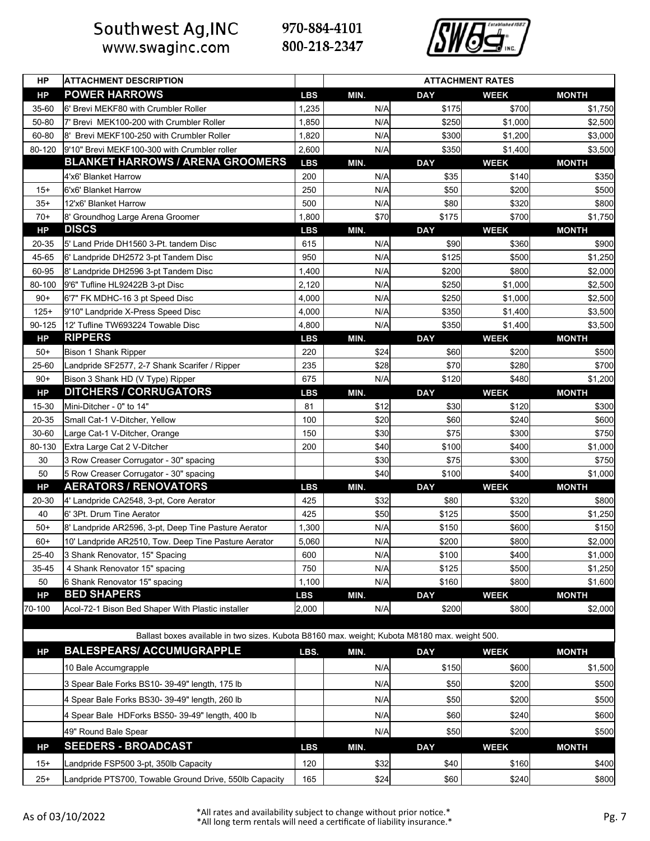www.swaginc.com



| HP                  | <b>ATTACHMENT DESCRIPTION</b>                                                                 |                     | <b>ATTACHMENT RATES</b> |                     |                        |                         |  |  |
|---------------------|-----------------------------------------------------------------------------------------------|---------------------|-------------------------|---------------------|------------------------|-------------------------|--|--|
| <b>HP</b>           | <b>POWER HARROWS</b>                                                                          | <b>LBS</b>          | MIN.                    | <b>DAY</b>          | <b>WEEK</b>            | <b>MONTH</b>            |  |  |
| 35-60               | 6' Brevi MEKF80 with Crumbler Roller                                                          | 1,235               | N/A                     | \$175               | \$700                  | \$1,750                 |  |  |
| 50-80               | 7' Brevi MEK100-200 with Crumbler Roller                                                      | 1,850               | N/A                     | \$250               | \$1,000                | \$2,500                 |  |  |
| 60-80               | 8' Brevi MEKF100-250 with Crumbler Roller                                                     | 1,820               | N/A                     | \$300               | \$1,200                | \$3,000                 |  |  |
| 80-120              | 9'10" Brevi MEKF100-300 with Crumbler roller                                                  | 2,600               | N/A                     | \$350               | \$1,400                | \$3,500                 |  |  |
|                     | <b>BLANKET HARROWS / ARENA GROOMERS</b>                                                       | <b>LBS</b>          | MIN.                    | <b>DAY</b>          | <b>WEEK</b>            | <b>MONTH</b>            |  |  |
|                     | 4'x6' Blanket Harrow                                                                          | 200                 | N/A                     | \$35                | \$140                  | \$350                   |  |  |
| $15+$               | 6'x6' Blanket Harrow                                                                          | 250                 | N/A                     | \$50                | \$200                  | \$500                   |  |  |
| $35+$               | 12'x6' Blanket Harrow                                                                         | 500                 | N/A                     | \$80                | \$320                  | \$800                   |  |  |
| $70+$               | 8' Groundhog Large Arena Groomer                                                              | 1,800               | \$70                    | \$175               | \$700                  | \$1,750                 |  |  |
| <b>HP</b>           | <b>DISCS</b>                                                                                  | <b>LBS</b>          | MIN.                    | <b>DAY</b>          | <b>WEEK</b>            | <b>MONTH</b>            |  |  |
| 20-35               | 5' Land Pride DH1560 3-Pt. tandem Disc                                                        | 615                 | N/A                     | \$90                | \$360                  | \$900                   |  |  |
| 45-65               | 6' Landpride DH2572 3-pt Tandem Disc                                                          | 950                 | N/A                     | \$125               | \$500                  | \$1,250                 |  |  |
| 60-95               | 8' Landpride DH2596 3-pt Tandem Disc                                                          | 1,400               | N/A                     | \$200               | \$800                  | \$2,000                 |  |  |
| 80-100              | 9'6" Tufline HL92422B 3-pt Disc                                                               | 2,120               | N/A                     | \$250               | \$1,000                | \$2,500                 |  |  |
| $90+$               | 6'7" FK MDHC-16 3 pt Speed Disc                                                               | 4,000               | N/A                     | \$250               | \$1,000                | \$2,500                 |  |  |
| $125+$              | 9'10" Landpride X-Press Speed Disc                                                            | 4,000               | N/A                     | \$350               | \$1,400                | \$3,500                 |  |  |
| 90-125<br><b>HP</b> | 12' Tufline TW693224 Towable Disc<br><b>RIPPERS</b>                                           | 4,800<br><b>LBS</b> | N/A<br>MIN.             | \$350<br><b>DAY</b> | \$1,400<br><b>WEEK</b> | \$3,500<br><b>MONTH</b> |  |  |
| $50+$               | Bison 1 Shank Ripper                                                                          | 220                 | \$24                    | \$60                | \$200                  | \$500                   |  |  |
| 25-60               | Landpride SF2577, 2-7 Shank Scarifer / Ripper                                                 | 235                 | \$28                    | \$70                | \$280                  | \$700                   |  |  |
| $90+$               | Bison 3 Shank HD (V Type) Ripper                                                              | 675                 | N/A                     | \$120               | \$480                  | \$1,200                 |  |  |
| <b>HP</b>           | <b>DITCHERS / CORRUGATORS</b>                                                                 | <b>LBS</b>          | MIN.                    | <b>DAY</b>          | <b>WEEK</b>            | <b>MONTH</b>            |  |  |
| 15-30               | Mini-Ditcher - 0" to 14"                                                                      | 81                  | \$12                    | \$30                | \$120                  | \$300                   |  |  |
| 20-35               | Small Cat-1 V-Ditcher, Yellow                                                                 | 100                 | \$20                    | \$60                | \$240                  | \$600                   |  |  |
| 30-60               | Large Cat-1 V-Ditcher, Orange                                                                 | 150                 | \$30                    | \$75                | \$300                  | \$750                   |  |  |
| 80-130              | Extra Large Cat 2 V-Ditcher                                                                   | 200                 | \$40                    | \$100               | \$400                  | \$1,000                 |  |  |
| 30                  | 3 Row Creaser Corrugator - 30" spacing                                                        |                     | \$30                    | \$75                | \$300                  | \$750                   |  |  |
| 50                  | 5 Row Creaser Corrugator - 30" spacing                                                        |                     | \$40                    | \$100               | \$400                  | \$1,000                 |  |  |
| <b>HP</b>           | <b>AERATORS / RENOVATORS</b>                                                                  | <b>LBS</b>          | MIN.                    | <b>DAY</b>          | <b>WEEK</b>            | <b>MONTH</b>            |  |  |
| 20-30               | 4' Landpride CA2548, 3-pt, Core Aerator                                                       | 425                 | \$32                    | \$80                | \$320                  | \$800                   |  |  |
| 40                  | 6' 3Pt. Drum Tine Aerator                                                                     | 425                 | \$50                    | \$125               | \$500                  | \$1,250                 |  |  |
| $50+$               | 8' Landpride AR2596, 3-pt, Deep Tine Pasture Aerator                                          | 1,300               | N/A                     | \$150               | \$600                  | \$150                   |  |  |
| $60+$               | 10' Landpride AR2510, Tow. Deep Tine Pasture Aerator                                          | 5,060               | N/A                     | \$200               | \$800                  | \$2,000                 |  |  |
| 25-40               | 3 Shank Renovator, 15" Spacing                                                                | 600                 | N/A                     | \$100               | \$400                  | \$1,000                 |  |  |
| 35-45               | 4 Shank Renovator 15" spacing                                                                 | 750                 | N/A                     | \$125               | \$500                  | \$1,250                 |  |  |
| 50                  | 6 Shank Renovator 15" spacing                                                                 | 1,100               | N/A                     | \$160               | \$800                  | \$1,600                 |  |  |
| <b>HP</b>           | <b>BED SHAPERS</b>                                                                            | <b>LBS</b>          | MIN.                    | <b>DAY</b>          | <b>WEEK</b>            | <b>MONTH</b>            |  |  |
| 70-100              | Acol-72-1 Bison Bed Shaper With Plastic installer                                             | 2,000               | N/A                     | \$200               | \$800                  | \$2,000                 |  |  |
|                     |                                                                                               |                     |                         |                     |                        |                         |  |  |
|                     | Ballast boxes available in two sizes. Kubota B8160 max. weight; Kubota M8180 max. weight 500. |                     |                         |                     |                        |                         |  |  |
| HP                  | <b>BALESPEARS/ ACCUMUGRAPPLE</b>                                                              | LBS.                | MIN.                    | <b>DAY</b>          | <b>WEEK</b>            | <b>MONTH</b>            |  |  |
|                     | 10 Bale Accumgrapple                                                                          |                     | N/A                     | \$150               | \$600                  | \$1,500                 |  |  |
|                     | 3 Spear Bale Forks BS10- 39-49" length, 175 lb                                                |                     | N/A                     | \$50                | \$200                  | \$500                   |  |  |
|                     | 4 Spear Bale Forks BS30- 39-49" length, 260 lb                                                |                     | N/A                     | \$50                | \$200                  | \$500                   |  |  |
|                     | 4 Spear Bale HDForks BS50- 39-49" length, 400 lb                                              |                     | N/A                     | \$60                | \$240                  | \$600                   |  |  |
|                     | 49" Round Bale Spear                                                                          |                     | N/A                     | \$50                | \$200                  | \$500                   |  |  |
|                     | <b>SEEDERS - BROADCAST</b>                                                                    |                     |                         |                     |                        |                         |  |  |
| <b>HP</b>           |                                                                                               | <b>LBS</b>          | MIN.                    | <b>DAY</b>          | <b>WEEK</b>            | <b>MONTH</b>            |  |  |
| $15+$               | Landpride FSP500 3-pt, 350lb Capacity                                                         | 120                 | \$32                    | \$40                | \$160                  | \$400                   |  |  |
| $25+$               | Landpride PTS700, Towable Ground Drive, 550lb Capacity                                        | 165                 | \$24                    | \$60                | \$240                  | \$800                   |  |  |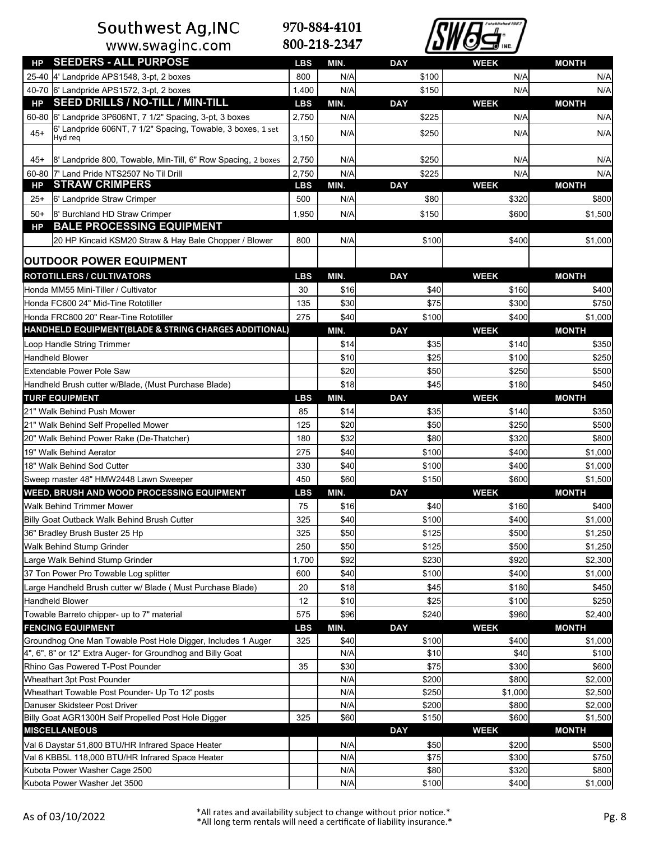# Southwest Ag, INC<br>www.swaginc.com



| HP        | <b>SEEDERS - ALL PURPOSE</b>                                                      | <b>LBS</b> | MIN.       | <b>DAY</b> | <b>WEEK</b> | <b>MONTH</b>   |
|-----------|-----------------------------------------------------------------------------------|------------|------------|------------|-------------|----------------|
|           | 25-40 4' Landpride APS1548, 3-pt, 2 boxes                                         | 800        | N/A        | \$100      | N/A         | N/A            |
|           | 40-70 6' Landpride APS1572, 3-pt, 2 boxes                                         | 1,400      | N/A        | \$150      | N/A         | N/A            |
| HР        | <b>SEED DRILLS / NO-TILL / MIN-TILL</b>                                           | <b>LBS</b> | MIN.       | <b>DAY</b> | <b>WEEK</b> | <b>MONTH</b>   |
|           | 60-80 6' Landpride 3P606NT, 7 1/2" Spacing, 3-pt, 3 boxes                         | 2,750      | N/A        | \$225      | N/A         | N/A            |
| $45+$     | 6' Landpride 606NT, 7 1/2" Spacing, Towable, 3 boxes, 1 set                       |            | N/A        | \$250      | N/A         | N/A            |
|           | Hyd rea                                                                           | 3,150      |            |            |             |                |
| 45+       | 8' Landpride 800, Towable, Min-Till, 6" Row Spacing, 2 boxes                      | 2,750      | N/A        | \$250      | N/A         | N/A            |
|           | 60-80 7' Land Pride NTS2507 No Til Drill                                          | 2,750      | N/A        | \$225      | N/A         | N/A            |
| HP        | <b>STRAW CRIMPERS</b>                                                             | <b>LBS</b> | MIN.       | <b>DAY</b> | <b>WEEK</b> | <b>MONTH</b>   |
| $25+$     | 6' Landpride Straw Crimper                                                        | 500        | N/A        | \$80       | \$320       | \$800          |
| $50+$     | 8' Burchland HD Straw Crimper                                                     | 1,950      | N/A        | \$150      | \$600       | \$1,500        |
| <b>HP</b> | <b>BALE PROCESSING EQUIPMENT</b>                                                  |            |            |            |             |                |
|           | 20 HP Kincaid KSM20 Straw & Hay Bale Chopper / Blower                             | 800        | N/A        | \$100      | \$400       | \$1,000        |
|           | <b>OUTDOOR POWER EQUIPMENT</b>                                                    |            |            |            |             |                |
|           |                                                                                   |            |            |            |             |                |
|           | <b>ROTOTILLERS / CULTIVATORS</b>                                                  | <b>LBS</b> | MIN.       | <b>DAY</b> | <b>WEEK</b> | <b>MONTH</b>   |
|           | Honda MM55 Mini-Tiller / Cultivator                                               | 30         | \$16       | \$40       | \$160       | \$400          |
|           | Honda FC600 24" Mid-Tine Rototiller                                               | 135        | \$30       | \$75       | \$300       | \$750          |
|           | Honda FRC800 20" Rear-Tine Rototiller                                             | 275        | \$40       | \$100      | \$400       | \$1,000        |
|           | HANDHELD EQUIPMENT(BLADE & STRING CHARGES ADDITIONAL)                             |            | MIN.       | <b>DAY</b> | <b>WEEK</b> | <b>MONTH</b>   |
|           | Loop Handle String Trimmer                                                        |            | \$14       | \$35       | \$140       | \$350          |
|           | <b>Handheld Blower</b>                                                            |            | \$10       | \$25       | \$100       | \$250          |
|           | Extendable Power Pole Saw                                                         |            | \$20       | \$50       | \$250       | \$500          |
|           | Handheld Brush cutter w/Blade, (Must Purchase Blade)                              |            | \$18       | \$45       | \$180       | \$450          |
|           | <b>TURF EQUIPMENT</b>                                                             | <b>LBS</b> | MIN.       | <b>DAY</b> | <b>WEEK</b> | <b>MONTH</b>   |
|           | 21" Walk Behind Push Mower                                                        | 85         | \$14       | \$35       | \$140       | \$350          |
|           | 21" Walk Behind Self Propelled Mower                                              | 125        | \$20       | \$50       | \$250       | \$500          |
|           | 20" Walk Behind Power Rake (De-Thatcher)                                          | 180        | \$32       | \$80       | \$320       | \$800          |
|           | 19" Walk Behind Aerator                                                           | 275        | \$40       | \$100      | \$400       | \$1,000        |
|           | 18" Walk Behind Sod Cutter                                                        | 330        | \$40       | \$100      | \$400       | \$1,000        |
|           | Sweep master 48" HMW2448 Lawn Sweeper                                             | 450        | \$60       | \$150      | \$600       | \$1,500        |
|           | <b>WEED, BRUSH AND WOOD PROCESSING EQUIPMENT</b>                                  | <b>LBS</b> | MIN.       | <b>DAY</b> | <b>WEEK</b> | <b>MONTH</b>   |
|           | <b>Walk Behind Trimmer Mower</b>                                                  | 75         | \$16       | \$40       | \$160       | \$400          |
|           | Billy Goat Outback Walk Behind Brush Cutter                                       | 325        | \$40       | \$100      | \$400       | \$1,000        |
|           | 36" Bradley Brush Buster 25 Hp                                                    | 325        | \$50       | \$125      | \$500       | \$1,250        |
|           | Walk Behind Stump Grinder                                                         | 250        | \$50       | \$125      | \$500       | \$1,250        |
|           | Large Walk Behind Stump Grinder                                                   | 1,700      | \$92       | \$230      | \$920       | \$2,300        |
|           | 37 Ton Power Pro Towable Log splitter                                             | 600        | \$40       | \$100      | \$400       | \$1,000        |
|           | Large Handheld Brush cutter w/ Blade (Must Purchase Blade)                        | 20         | \$18       | \$45       | \$180       | \$450          |
|           | Handheld Blower                                                                   | 12         | \$10       | \$25       | \$100       | \$250          |
|           | Towable Barreto chipper- up to 7" material                                        | 575        | \$96       | \$240      | \$960       | \$2,400        |
|           | <b>FENCING EQUIPMENT</b>                                                          | <b>LBS</b> | MIN.       | <b>DAY</b> | <b>WEEK</b> | <b>MONTH</b>   |
|           | Groundhog One Man Towable Post Hole Digger, Includes 1 Auger                      | 325        | \$40       | \$100      | \$400       | \$1,000        |
|           | 4", 6", 8" or 12" Extra Auger- for Groundhog and Billy Goat                       |            | N/A        | \$10       | \$40        | \$100          |
|           | Rhino Gas Powered T-Post Pounder                                                  | 35         | \$30       | \$75       | \$300       | \$600          |
|           | Wheathart 3pt Post Pounder                                                        |            | N/A        | \$200      | \$800       | \$2,000        |
|           | Wheathart Towable Post Pounder- Up To 12' posts                                   |            | N/A        | \$250      | \$1,000     | \$2,500        |
|           | Danuser Skidsteer Post Driver                                                     |            | N/A        | \$200      | \$800       | \$2,000        |
|           | Billy Goat AGR1300H Self Propelled Post Hole Digger                               | 325        | \$60       | \$150      | \$600       | \$1,500        |
|           | <b>MISCELLANEOUS</b>                                                              |            |            | <b>DAY</b> | <b>WEEK</b> | <b>MONTH</b>   |
|           | Val 6 Daystar 51,800 BTU/HR Infrared Space Heater                                 |            | N/A        | \$50       | \$200       | \$500          |
|           |                                                                                   |            |            |            |             |                |
|           |                                                                                   |            |            | \$75       | \$300       |                |
|           | Val 6 KBB5L 118,000 BTU/HR Infrared Space Heater<br>Kubota Power Washer Cage 2500 |            | N/A<br>N/A | \$80       | \$320       | \$750<br>\$800 |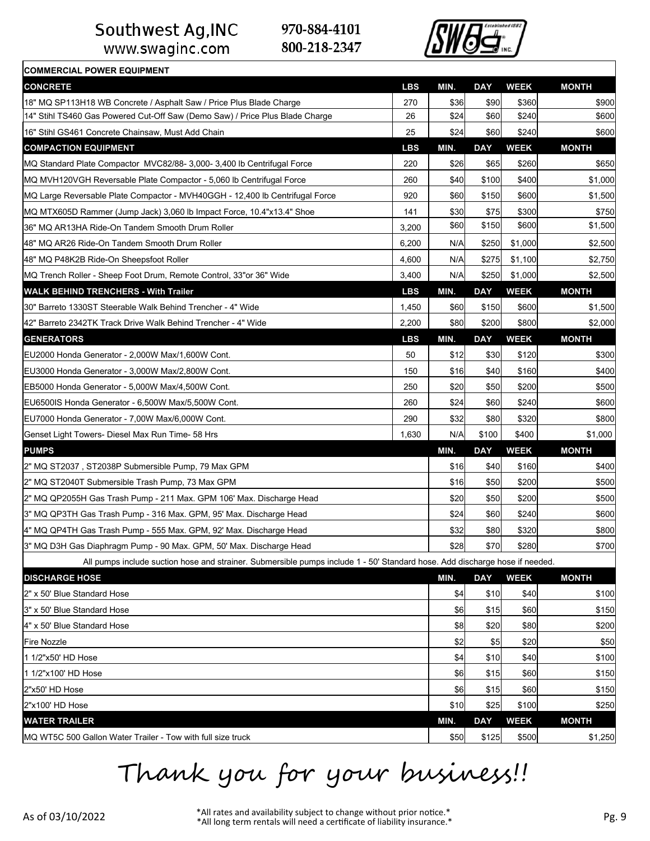www.swaginc.com

**COMMERCIAL POWER EQUIPMENT**

970-884-4101 800-218-2347



| <b>CONCRETE</b>                                                                                                             | <b>LBS</b> | MIN. | <b>DAY</b> | <b>WEEK</b> | <b>MONTH</b> |
|-----------------------------------------------------------------------------------------------------------------------------|------------|------|------------|-------------|--------------|
| 18" MQ SP113H18 WB Concrete / Asphalt Saw / Price Plus Blade Charge                                                         | 270        | \$36 | \$90       | \$360       | \$900        |
| 14" Stihl TS460 Gas Powered Cut-Off Saw (Demo Saw) / Price Plus Blade Charge                                                | 26         | \$24 | \$60       | \$240       | \$600        |
| 16" Stihl GS461 Concrete Chainsaw, Must Add Chain                                                                           | 25         | \$24 | \$60       | \$240       | \$600        |
| <b>COMPACTION EQUIPMENT</b>                                                                                                 | <b>LBS</b> | MIN. | <b>DAY</b> | <b>WEEK</b> | <b>MONTH</b> |
| IMQ Standard Plate Compactor  MVC82/88- 3,000- 3,400 lb Centrifugal Force                                                   | 220        | \$26 | \$65       | \$260       | \$650        |
| MQ MVH120VGH Reversable Plate Compactor - 5,060 lb Centrifugal Force                                                        | 260        | \$40 | \$100      | \$400       | \$1,000      |
| MQ Large Reversable Plate Compactor - MVH40GGH - 12,400 lb Centrifugal Force                                                | 920        | \$60 | \$150      | \$600       | \$1,500      |
| MQ MTX605D Rammer (Jump Jack) 3,060 lb Impact Force, 10.4"x13.4" Shoe                                                       | 141        | \$30 | \$75       | \$300       | \$750        |
| 36" MQ AR13HA Ride-On Tandem Smooth Drum Roller                                                                             | 3,200      | \$60 | \$150      | \$600       | \$1,500      |
| 48" MQ AR26 Ride-On Tandem Smooth Drum Roller                                                                               | 6,200      | N/A  | \$250      | \$1,000     | \$2,500      |
| 48" MQ P48K2B Ride-On Sheepsfoot Roller                                                                                     | 4,600      | N/A  | \$275      | \$1,100     | \$2,750      |
| MQ Trench Roller - Sheep Foot Drum, Remote Control, 33" or 36" Wide                                                         | 3,400      | N/A  | \$250      | \$1,000     | \$2,500      |
| <b>WALK BEHIND TRENCHERS - With Trailer</b>                                                                                 | <b>LBS</b> | MIN. | <b>DAY</b> | <b>WEEK</b> | <b>MONTH</b> |
| 30" Barreto 1330ST Steerable Walk Behind Trencher - 4" Wide                                                                 | 1,450      | \$60 | \$150      | \$600       | \$1,500      |
| 42" Barreto 2342TK Track Drive Walk Behind Trencher - 4" Wide                                                               | 2,200      | \$80 | \$200      | \$800       | \$2,000      |
| <b>GENERATORS</b>                                                                                                           | <b>LBS</b> | MIN. | <b>DAY</b> | <b>WEEK</b> | <b>MONTH</b> |
| EU2000 Honda Generator - 2,000W Max/1,600W Cont.                                                                            | 50         | \$12 | \$30       | \$120       | \$300        |
| IEU3000 Honda Generator - 3,000W Max/2,800W Cont.                                                                           | 150        | \$16 | \$40       | \$160       | \$400        |
| EB5000 Honda Generator - 5,000W Max/4,500W Cont.                                                                            | 250        | \$20 | \$50       | \$200       | \$500        |
| IEU6500IS Honda Generator - 6,500W Max/5,500W Cont.                                                                         | 260        | \$24 | \$60       | \$240       | \$600        |
| EU7000 Honda Generator - 7,00W Max/6,000W Cont.                                                                             | 290        | \$32 | \$80       | \$320       | \$800        |
| Genset Light Towers- Diesel Max Run Time- 58 Hrs                                                                            | 1,630      | N/A  | \$100      | \$400       | \$1,000      |
| <b>PUMPS</b>                                                                                                                |            | MIN. | <b>DAY</b> | <b>WEEK</b> | <b>MONTH</b> |
| 2" MQ ST2037 , ST2038P Submersible Pump, 79 Max GPM                                                                         |            | \$16 | \$40       | \$160       | \$400        |
| 2" MQ ST2040T Submersible Trash Pump, 73 Max GPM                                                                            |            | \$16 | \$50       | \$200       | \$500        |
| 2" MQ QP2055H Gas Trash Pump - 211 Max. GPM 106' Max. Discharge Head                                                        |            | \$20 | \$50       | \$200       | \$500        |
| 3" MQ QP3TH Gas Trash Pump - 316 Max. GPM, 95' Max. Discharge Head                                                          |            | \$24 | \$60       | \$240       | \$600        |
| 4" MQ QP4TH Gas Trash Pump - 555 Max. GPM, 92' Max. Discharge Head                                                          |            | \$32 | \$80       | \$320       | \$800        |
| 3" MQ D3H Gas Diaphragm Pump - 90 Max. GPM, 50' Max. Discharge Head                                                         |            | \$28 | \$70       | \$280       | \$700        |
| All pumps include suction hose and strainer. Submersible pumps include 1 - 50' Standard hose. Add discharge hose if needed. |            |      |            |             |              |
| <b>DISCHARGE HOSE</b>                                                                                                       |            | MIN. | <b>DAY</b> | <b>WEEK</b> | <b>MONTH</b> |
| 2" x 50' Blue Standard Hose                                                                                                 |            | \$4  | \$10       | \$40        | \$100        |
| l3" x 50' Blue Standard Hose                                                                                                |            | \$6  | \$15       | \$60        | \$150        |
| 4" x 50' Blue Standard Hose                                                                                                 |            | \$8  | \$20       | \$80        | \$200        |
| Fire Nozzle                                                                                                                 |            | \$2  | \$5        | \$20        | \$50         |
| 1 1/2"x50' HD Hose                                                                                                          |            | \$4  | \$10       | \$40        | \$100        |
| 1 1/2"x100' HD Hose                                                                                                         |            | \$6  | \$15       | \$60        | \$150        |
| l2"x50' HD Hose                                                                                                             |            | \$6  | \$15       | \$60        | \$150        |
| 2"x100' HD Hose                                                                                                             |            | \$10 | \$25       | \$100       | \$250        |
| <b>WATER TRAILER</b>                                                                                                        |            | MIN. | <b>DAY</b> | <b>WEEK</b> | <b>MONTH</b> |

 $\vert$ MQ WT5C 500 Gallon Water Trailer - Tow with full size truck  $\vert$  \$50  $\vert$  \$50  $\vert$  \$1,250 \$1,250 \$1,250

Thank you for your business!!